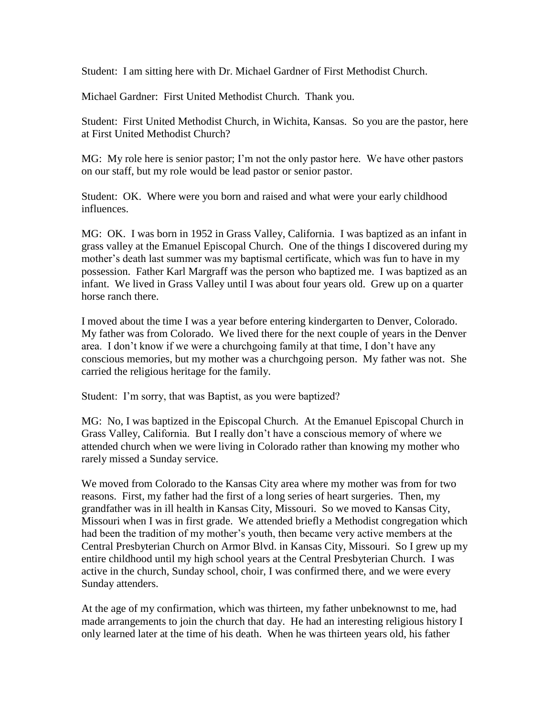Student: I am sitting here with Dr. Michael Gardner of First Methodist Church.

Michael Gardner: First United Methodist Church. Thank you.

Student: First United Methodist Church, in Wichita, Kansas. So you are the pastor, here at First United Methodist Church?

MG: My role here is senior pastor; I'm not the only pastor here. We have other pastors on our staff, but my role would be lead pastor or senior pastor.

Student: OK. Where were you born and raised and what were your early childhood influences.

MG: OK. I was born in 1952 in Grass Valley, California. I was baptized as an infant in grass valley at the Emanuel Episcopal Church. One of the things I discovered during my mother's death last summer was my baptismal certificate, which was fun to have in my possession. Father Karl Margraff was the person who baptized me. I was baptized as an infant. We lived in Grass Valley until I was about four years old. Grew up on a quarter horse ranch there.

I moved about the time I was a year before entering kindergarten to Denver, Colorado. My father was from Colorado. We lived there for the next couple of years in the Denver area. I don't know if we were a churchgoing family at that time, I don't have any conscious memories, but my mother was a churchgoing person. My father was not. She carried the religious heritage for the family.

Student: I'm sorry, that was Baptist, as you were baptized?

MG: No, I was baptized in the Episcopal Church. At the Emanuel Episcopal Church in Grass Valley, California. But I really don't have a conscious memory of where we attended church when we were living in Colorado rather than knowing my mother who rarely missed a Sunday service.

We moved from Colorado to the Kansas City area where my mother was from for two reasons. First, my father had the first of a long series of heart surgeries. Then, my grandfather was in ill health in Kansas City, Missouri. So we moved to Kansas City, Missouri when I was in first grade. We attended briefly a Methodist congregation which had been the tradition of my mother's youth, then became very active members at the Central Presbyterian Church on Armor Blvd. in Kansas City, Missouri. So I grew up my entire childhood until my high school years at the Central Presbyterian Church. I was active in the church, Sunday school, choir, I was confirmed there, and we were every Sunday attenders.

At the age of my confirmation, which was thirteen, my father unbeknownst to me, had made arrangements to join the church that day. He had an interesting religious history I only learned later at the time of his death. When he was thirteen years old, his father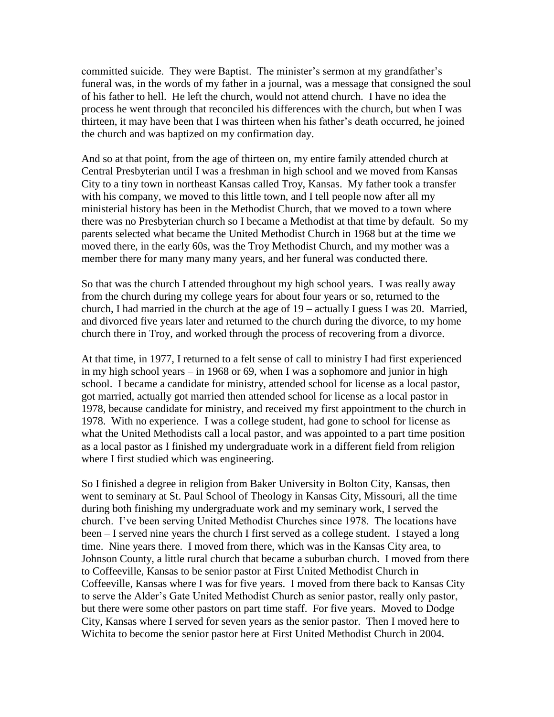committed suicide. They were Baptist. The minister's sermon at my grandfather's funeral was, in the words of my father in a journal, was a message that consigned the soul of his father to hell. He left the church, would not attend church. I have no idea the process he went through that reconciled his differences with the church, but when I was thirteen, it may have been that I was thirteen when his father's death occurred, he joined the church and was baptized on my confirmation day.

And so at that point, from the age of thirteen on, my entire family attended church at Central Presbyterian until I was a freshman in high school and we moved from Kansas City to a tiny town in northeast Kansas called Troy, Kansas. My father took a transfer with his company, we moved to this little town, and I tell people now after all my ministerial history has been in the Methodist Church, that we moved to a town where there was no Presbyterian church so I became a Methodist at that time by default. So my parents selected what became the United Methodist Church in 1968 but at the time we moved there, in the early 60s, was the Troy Methodist Church, and my mother was a member there for many many many years, and her funeral was conducted there.

So that was the church I attended throughout my high school years. I was really away from the church during my college years for about four years or so, returned to the church, I had married in the church at the age of 19 – actually I guess I was 20. Married, and divorced five years later and returned to the church during the divorce, to my home church there in Troy, and worked through the process of recovering from a divorce.

At that time, in 1977, I returned to a felt sense of call to ministry I had first experienced in my high school years – in 1968 or 69, when I was a sophomore and junior in high school. I became a candidate for ministry, attended school for license as a local pastor, got married, actually got married then attended school for license as a local pastor in 1978, because candidate for ministry, and received my first appointment to the church in 1978. With no experience. I was a college student, had gone to school for license as what the United Methodists call a local pastor, and was appointed to a part time position as a local pastor as I finished my undergraduate work in a different field from religion where I first studied which was engineering.

So I finished a degree in religion from Baker University in Bolton City, Kansas, then went to seminary at St. Paul School of Theology in Kansas City, Missouri, all the time during both finishing my undergraduate work and my seminary work, I served the church. I've been serving United Methodist Churches since 1978. The locations have been – I served nine years the church I first served as a college student. I stayed a long time. Nine years there. I moved from there, which was in the Kansas City area, to Johnson County, a little rural church that became a suburban church. I moved from there to Coffeeville, Kansas to be senior pastor at First United Methodist Church in Coffeeville, Kansas where I was for five years. I moved from there back to Kansas City to serve the Alder's Gate United Methodist Church as senior pastor, really only pastor, but there were some other pastors on part time staff. For five years. Moved to Dodge City, Kansas where I served for seven years as the senior pastor. Then I moved here to Wichita to become the senior pastor here at First United Methodist Church in 2004.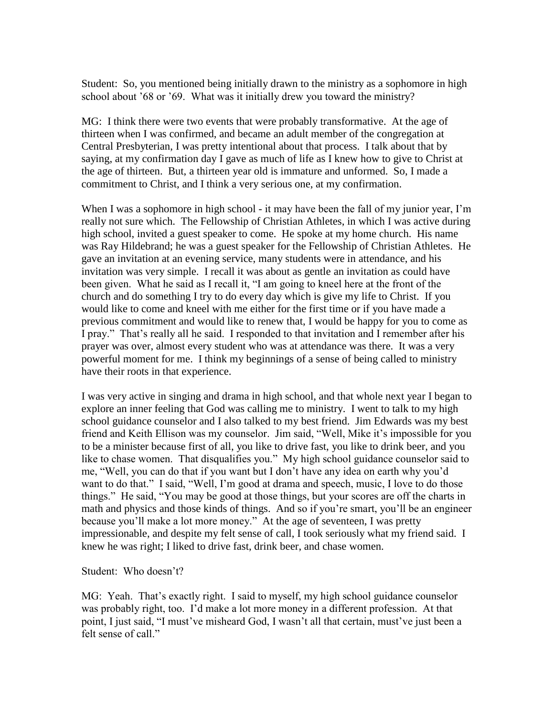Student: So, you mentioned being initially drawn to the ministry as a sophomore in high school about '68 or '69. What was it initially drew you toward the ministry?

MG: I think there were two events that were probably transformative. At the age of thirteen when I was confirmed, and became an adult member of the congregation at Central Presbyterian, I was pretty intentional about that process. I talk about that by saying, at my confirmation day I gave as much of life as I knew how to give to Christ at the age of thirteen. But, a thirteen year old is immature and unformed. So, I made a commitment to Christ, and I think a very serious one, at my confirmation.

When I was a sophomore in high school - it may have been the fall of my junior year, I'm really not sure which. The Fellowship of Christian Athletes, in which I was active during high school, invited a guest speaker to come. He spoke at my home church. His name was Ray Hildebrand; he was a guest speaker for the Fellowship of Christian Athletes. He gave an invitation at an evening service, many students were in attendance, and his invitation was very simple. I recall it was about as gentle an invitation as could have been given. What he said as I recall it, "I am going to kneel here at the front of the church and do something I try to do every day which is give my life to Christ. If you would like to come and kneel with me either for the first time or if you have made a previous commitment and would like to renew that, I would be happy for you to come as I pray." That's really all he said. I responded to that invitation and I remember after his prayer was over, almost every student who was at attendance was there. It was a very powerful moment for me. I think my beginnings of a sense of being called to ministry have their roots in that experience.

I was very active in singing and drama in high school, and that whole next year I began to explore an inner feeling that God was calling me to ministry. I went to talk to my high school guidance counselor and I also talked to my best friend. Jim Edwards was my best friend and Keith Ellison was my counselor. Jim said, "Well, Mike it's impossible for you to be a minister because first of all, you like to drive fast, you like to drink beer, and you like to chase women. That disqualifies you." My high school guidance counselor said to me, "Well, you can do that if you want but I don't have any idea on earth why you'd want to do that." I said, "Well, I'm good at drama and speech, music, I love to do those things." He said, "You may be good at those things, but your scores are off the charts in math and physics and those kinds of things. And so if you're smart, you'll be an engineer because you'll make a lot more money." At the age of seventeen, I was pretty impressionable, and despite my felt sense of call, I took seriously what my friend said. I knew he was right; I liked to drive fast, drink beer, and chase women.

Student: Who doesn't?

MG: Yeah. That's exactly right. I said to myself, my high school guidance counselor was probably right, too. I'd make a lot more money in a different profession. At that point, I just said, "I must've misheard God, I wasn't all that certain, must've just been a felt sense of call."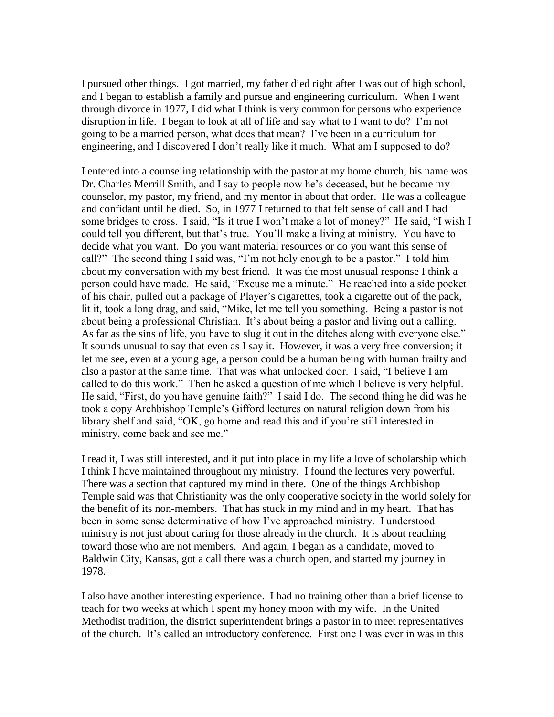I pursued other things. I got married, my father died right after I was out of high school, and I began to establish a family and pursue and engineering curriculum. When I went through divorce in 1977, I did what I think is very common for persons who experience disruption in life. I began to look at all of life and say what to I want to do? I'm not going to be a married person, what does that mean? I've been in a curriculum for engineering, and I discovered I don't really like it much. What am I supposed to do?

I entered into a counseling relationship with the pastor at my home church, his name was Dr. Charles Merrill Smith, and I say to people now he's deceased, but he became my counselor, my pastor, my friend, and my mentor in about that order. He was a colleague and confidant until he died. So, in 1977 I returned to that felt sense of call and I had some bridges to cross. I said, "Is it true I won't make a lot of money?" He said, "I wish I could tell you different, but that's true. You'll make a living at ministry. You have to decide what you want. Do you want material resources or do you want this sense of call?" The second thing I said was, "I'm not holy enough to be a pastor." I told him about my conversation with my best friend. It was the most unusual response I think a person could have made. He said, "Excuse me a minute." He reached into a side pocket of his chair, pulled out a package of Player's cigarettes, took a cigarette out of the pack, lit it, took a long drag, and said, "Mike, let me tell you something. Being a pastor is not about being a professional Christian. It's about being a pastor and living out a calling. As far as the sins of life, you have to slug it out in the ditches along with everyone else." It sounds unusual to say that even as I say it. However, it was a very free conversion; it let me see, even at a young age, a person could be a human being with human frailty and also a pastor at the same time. That was what unlocked door. I said, "I believe I am called to do this work." Then he asked a question of me which I believe is very helpful. He said, "First, do you have genuine faith?" I said I do. The second thing he did was he took a copy Archbishop Temple's Gifford lectures on natural religion down from his library shelf and said, "OK, go home and read this and if you're still interested in ministry, come back and see me."

I read it, I was still interested, and it put into place in my life a love of scholarship which I think I have maintained throughout my ministry. I found the lectures very powerful. There was a section that captured my mind in there. One of the things Archbishop Temple said was that Christianity was the only cooperative society in the world solely for the benefit of its non-members. That has stuck in my mind and in my heart. That has been in some sense determinative of how I've approached ministry. I understood ministry is not just about caring for those already in the church. It is about reaching toward those who are not members. And again, I began as a candidate, moved to Baldwin City, Kansas, got a call there was a church open, and started my journey in 1978.

I also have another interesting experience. I had no training other than a brief license to teach for two weeks at which I spent my honey moon with my wife. In the United Methodist tradition, the district superintendent brings a pastor in to meet representatives of the church. It's called an introductory conference. First one I was ever in was in this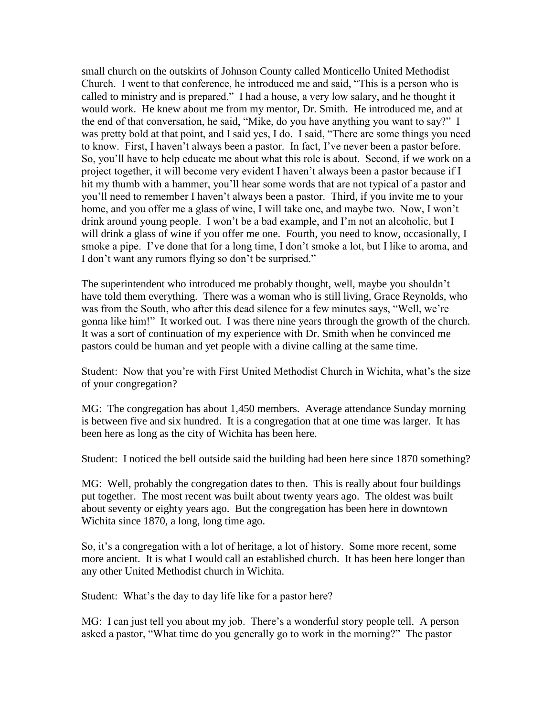small church on the outskirts of Johnson County called Monticello United Methodist Church. I went to that conference, he introduced me and said, "This is a person who is called to ministry and is prepared." I had a house, a very low salary, and he thought it would work. He knew about me from my mentor, Dr. Smith. He introduced me, and at the end of that conversation, he said, "Mike, do you have anything you want to say?" I was pretty bold at that point, and I said yes, I do. I said, "There are some things you need to know. First, I haven't always been a pastor. In fact, I've never been a pastor before. So, you'll have to help educate me about what this role is about. Second, if we work on a project together, it will become very evident I haven't always been a pastor because if I hit my thumb with a hammer, you'll hear some words that are not typical of a pastor and you'll need to remember I haven't always been a pastor. Third, if you invite me to your home, and you offer me a glass of wine, I will take one, and maybe two. Now, I won't drink around young people. I won't be a bad example, and I'm not an alcoholic, but I will drink a glass of wine if you offer me one. Fourth, you need to know, occasionally, I smoke a pipe. I've done that for a long time, I don't smoke a lot, but I like to aroma, and I don't want any rumors flying so don't be surprised."

The superintendent who introduced me probably thought, well, maybe you shouldn't have told them everything. There was a woman who is still living, Grace Reynolds, who was from the South, who after this dead silence for a few minutes says, "Well, we're gonna like him!" It worked out. I was there nine years through the growth of the church. It was a sort of continuation of my experience with Dr. Smith when he convinced me pastors could be human and yet people with a divine calling at the same time.

Student: Now that you're with First United Methodist Church in Wichita, what's the size of your congregation?

MG: The congregation has about 1,450 members. Average attendance Sunday morning is between five and six hundred. It is a congregation that at one time was larger. It has been here as long as the city of Wichita has been here.

Student: I noticed the bell outside said the building had been here since 1870 something?

MG: Well, probably the congregation dates to then. This is really about four buildings put together. The most recent was built about twenty years ago. The oldest was built about seventy or eighty years ago. But the congregation has been here in downtown Wichita since 1870, a long, long time ago.

So, it's a congregation with a lot of heritage, a lot of history. Some more recent, some more ancient. It is what I would call an established church. It has been here longer than any other United Methodist church in Wichita.

Student: What's the day to day life like for a pastor here?

MG: I can just tell you about my job. There's a wonderful story people tell. A person asked a pastor, "What time do you generally go to work in the morning?" The pastor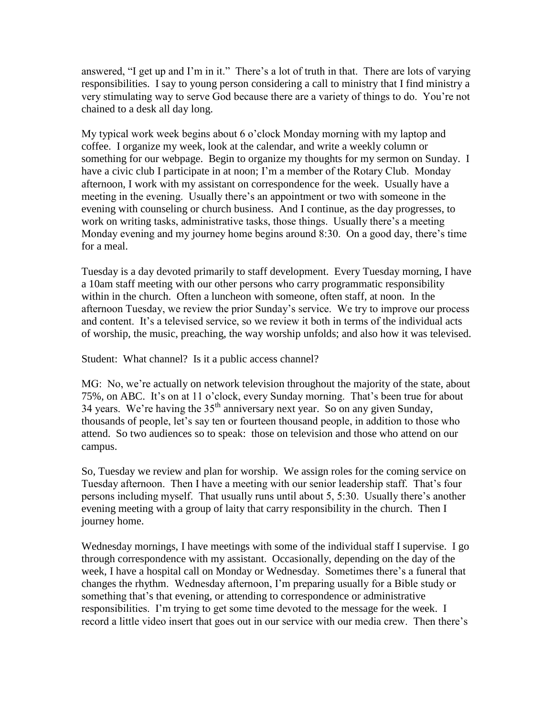answered, "I get up and I'm in it." There's a lot of truth in that. There are lots of varying responsibilities. I say to young person considering a call to ministry that I find ministry a very stimulating way to serve God because there are a variety of things to do. You're not chained to a desk all day long.

My typical work week begins about 6 o'clock Monday morning with my laptop and coffee. I organize my week, look at the calendar, and write a weekly column or something for our webpage. Begin to organize my thoughts for my sermon on Sunday. I have a civic club I participate in at noon; I'm a member of the Rotary Club. Monday afternoon, I work with my assistant on correspondence for the week. Usually have a meeting in the evening. Usually there's an appointment or two with someone in the evening with counseling or church business. And I continue, as the day progresses, to work on writing tasks, administrative tasks, those things. Usually there's a meeting Monday evening and my journey home begins around 8:30. On a good day, there's time for a meal.

Tuesday is a day devoted primarily to staff development. Every Tuesday morning, I have a 10am staff meeting with our other persons who carry programmatic responsibility within in the church. Often a luncheon with someone, often staff, at noon. In the afternoon Tuesday, we review the prior Sunday's service. We try to improve our process and content. It's a televised service, so we review it both in terms of the individual acts of worship, the music, preaching, the way worship unfolds; and also how it was televised.

Student: What channel? Is it a public access channel?

MG: No, we're actually on network television throughout the majority of the state, about 75%, on ABC. It's on at 11 o'clock, every Sunday morning. That's been true for about 34 years. We're having the  $35<sup>th</sup>$  anniversary next year. So on any given Sunday, thousands of people, let's say ten or fourteen thousand people, in addition to those who attend. So two audiences so to speak: those on television and those who attend on our campus.

So, Tuesday we review and plan for worship. We assign roles for the coming service on Tuesday afternoon. Then I have a meeting with our senior leadership staff. That's four persons including myself. That usually runs until about 5, 5:30. Usually there's another evening meeting with a group of laity that carry responsibility in the church. Then I journey home.

Wednesday mornings, I have meetings with some of the individual staff I supervise. I go through correspondence with my assistant. Occasionally, depending on the day of the week, I have a hospital call on Monday or Wednesday. Sometimes there's a funeral that changes the rhythm. Wednesday afternoon, I'm preparing usually for a Bible study or something that's that evening, or attending to correspondence or administrative responsibilities. I'm trying to get some time devoted to the message for the week. I record a little video insert that goes out in our service with our media crew. Then there's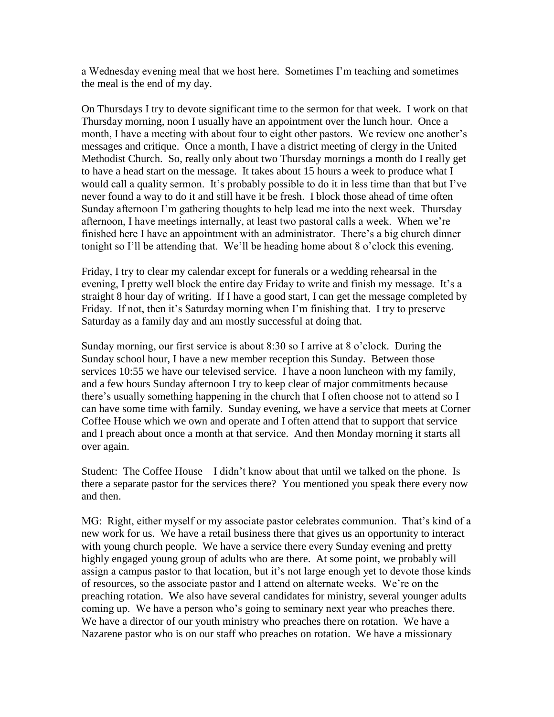a Wednesday evening meal that we host here. Sometimes I'm teaching and sometimes the meal is the end of my day.

On Thursdays I try to devote significant time to the sermon for that week. I work on that Thursday morning, noon I usually have an appointment over the lunch hour. Once a month, I have a meeting with about four to eight other pastors. We review one another's messages and critique. Once a month, I have a district meeting of clergy in the United Methodist Church. So, really only about two Thursday mornings a month do I really get to have a head start on the message. It takes about 15 hours a week to produce what I would call a quality sermon. It's probably possible to do it in less time than that but I've never found a way to do it and still have it be fresh. I block those ahead of time often Sunday afternoon I'm gathering thoughts to help lead me into the next week. Thursday afternoon, I have meetings internally, at least two pastoral calls a week. When we're finished here I have an appointment with an administrator. There's a big church dinner tonight so I'll be attending that. We'll be heading home about 8 o'clock this evening.

Friday, I try to clear my calendar except for funerals or a wedding rehearsal in the evening, I pretty well block the entire day Friday to write and finish my message. It's a straight 8 hour day of writing. If I have a good start, I can get the message completed by Friday. If not, then it's Saturday morning when I'm finishing that. I try to preserve Saturday as a family day and am mostly successful at doing that.

Sunday morning, our first service is about 8:30 so I arrive at 8 o'clock. During the Sunday school hour, I have a new member reception this Sunday. Between those services 10:55 we have our televised service. I have a noon luncheon with my family, and a few hours Sunday afternoon I try to keep clear of major commitments because there's usually something happening in the church that I often choose not to attend so I can have some time with family. Sunday evening, we have a service that meets at Corner Coffee House which we own and operate and I often attend that to support that service and I preach about once a month at that service. And then Monday morning it starts all over again.

Student: The Coffee House – I didn't know about that until we talked on the phone. Is there a separate pastor for the services there? You mentioned you speak there every now and then.

MG: Right, either myself or my associate pastor celebrates communion. That's kind of a new work for us. We have a retail business there that gives us an opportunity to interact with young church people. We have a service there every Sunday evening and pretty highly engaged young group of adults who are there. At some point, we probably will assign a campus pastor to that location, but it's not large enough yet to devote those kinds of resources, so the associate pastor and I attend on alternate weeks. We're on the preaching rotation. We also have several candidates for ministry, several younger adults coming up. We have a person who's going to seminary next year who preaches there. We have a director of our youth ministry who preaches there on rotation. We have a Nazarene pastor who is on our staff who preaches on rotation. We have a missionary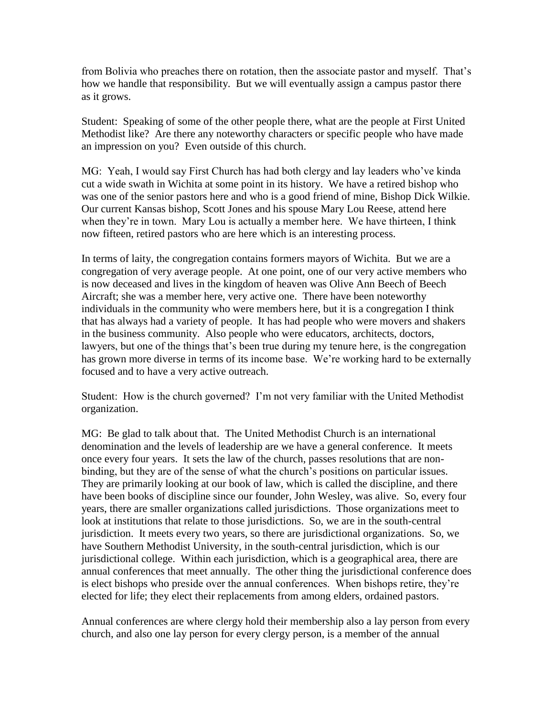from Bolivia who preaches there on rotation, then the associate pastor and myself. That's how we handle that responsibility. But we will eventually assign a campus pastor there as it grows.

Student: Speaking of some of the other people there, what are the people at First United Methodist like? Are there any noteworthy characters or specific people who have made an impression on you? Even outside of this church.

MG: Yeah, I would say First Church has had both clergy and lay leaders who've kinda cut a wide swath in Wichita at some point in its history. We have a retired bishop who was one of the senior pastors here and who is a good friend of mine, Bishop Dick Wilkie. Our current Kansas bishop, Scott Jones and his spouse Mary Lou Reese, attend here when they're in town. Mary Lou is actually a member here. We have thirteen, I think now fifteen, retired pastors who are here which is an interesting process.

In terms of laity, the congregation contains formers mayors of Wichita. But we are a congregation of very average people. At one point, one of our very active members who is now deceased and lives in the kingdom of heaven was Olive Ann Beech of Beech Aircraft; she was a member here, very active one. There have been noteworthy individuals in the community who were members here, but it is a congregation I think that has always had a variety of people. It has had people who were movers and shakers in the business community. Also people who were educators, architects, doctors, lawyers, but one of the things that's been true during my tenure here, is the congregation has grown more diverse in terms of its income base. We're working hard to be externally focused and to have a very active outreach.

Student: How is the church governed? I'm not very familiar with the United Methodist organization.

MG: Be glad to talk about that. The United Methodist Church is an international denomination and the levels of leadership are we have a general conference. It meets once every four years. It sets the law of the church, passes resolutions that are nonbinding, but they are of the sense of what the church's positions on particular issues. They are primarily looking at our book of law, which is called the discipline, and there have been books of discipline since our founder, John Wesley, was alive. So, every four years, there are smaller organizations called jurisdictions. Those organizations meet to look at institutions that relate to those jurisdictions. So, we are in the south-central jurisdiction. It meets every two years, so there are jurisdictional organizations. So, we have Southern Methodist University, in the south-central jurisdiction, which is our jurisdictional college. Within each jurisdiction, which is a geographical area, there are annual conferences that meet annually. The other thing the jurisdictional conference does is elect bishops who preside over the annual conferences. When bishops retire, they're elected for life; they elect their replacements from among elders, ordained pastors.

Annual conferences are where clergy hold their membership also a lay person from every church, and also one lay person for every clergy person, is a member of the annual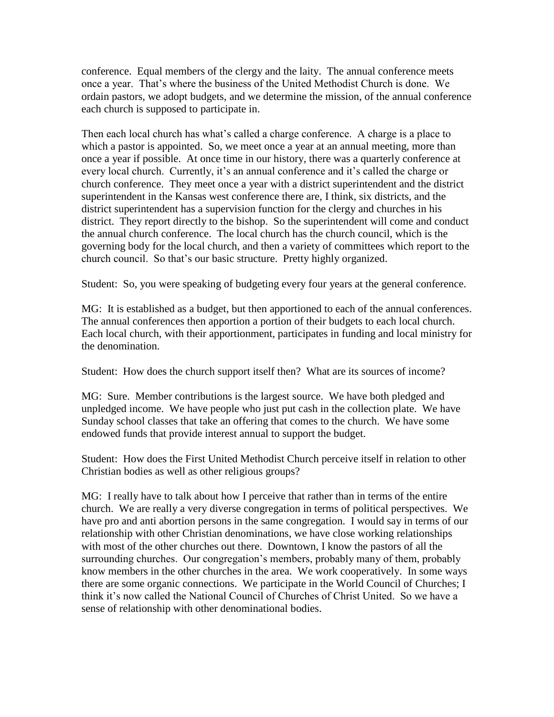conference. Equal members of the clergy and the laity. The annual conference meets once a year. That's where the business of the United Methodist Church is done. We ordain pastors, we adopt budgets, and we determine the mission, of the annual conference each church is supposed to participate in.

Then each local church has what's called a charge conference. A charge is a place to which a pastor is appointed. So, we meet once a year at an annual meeting, more than once a year if possible. At once time in our history, there was a quarterly conference at every local church. Currently, it's an annual conference and it's called the charge or church conference. They meet once a year with a district superintendent and the district superintendent in the Kansas west conference there are, I think, six districts, and the district superintendent has a supervision function for the clergy and churches in his district. They report directly to the bishop. So the superintendent will come and conduct the annual church conference. The local church has the church council, which is the governing body for the local church, and then a variety of committees which report to the church council. So that's our basic structure. Pretty highly organized.

Student: So, you were speaking of budgeting every four years at the general conference.

MG: It is established as a budget, but then apportioned to each of the annual conferences. The annual conferences then apportion a portion of their budgets to each local church. Each local church, with their apportionment, participates in funding and local ministry for the denomination.

Student: How does the church support itself then? What are its sources of income?

MG: Sure. Member contributions is the largest source. We have both pledged and unpledged income. We have people who just put cash in the collection plate. We have Sunday school classes that take an offering that comes to the church. We have some endowed funds that provide interest annual to support the budget.

Student: How does the First United Methodist Church perceive itself in relation to other Christian bodies as well as other religious groups?

MG: I really have to talk about how I perceive that rather than in terms of the entire church. We are really a very diverse congregation in terms of political perspectives. We have pro and anti abortion persons in the same congregation. I would say in terms of our relationship with other Christian denominations, we have close working relationships with most of the other churches out there. Downtown, I know the pastors of all the surrounding churches. Our congregation's members, probably many of them, probably know members in the other churches in the area. We work cooperatively. In some ways there are some organic connections. We participate in the World Council of Churches; I think it's now called the National Council of Churches of Christ United. So we have a sense of relationship with other denominational bodies.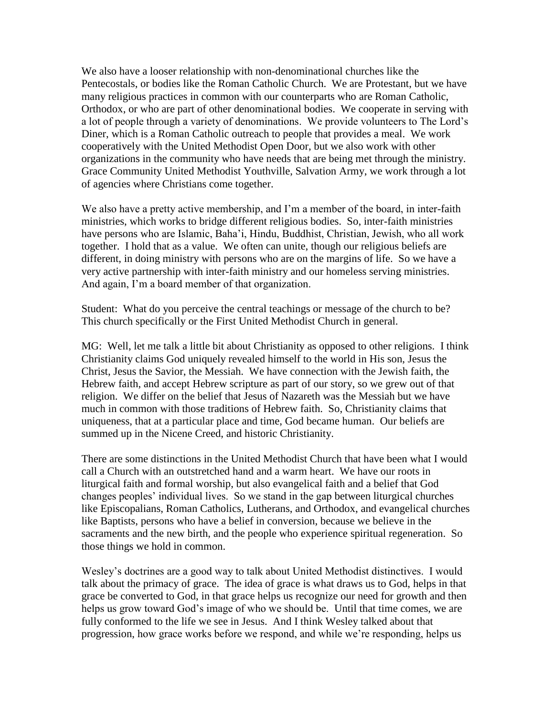We also have a looser relationship with non-denominational churches like the Pentecostals, or bodies like the Roman Catholic Church. We are Protestant, but we have many religious practices in common with our counterparts who are Roman Catholic, Orthodox, or who are part of other denominational bodies. We cooperate in serving with a lot of people through a variety of denominations. We provide volunteers to The Lord's Diner, which is a Roman Catholic outreach to people that provides a meal. We work cooperatively with the United Methodist Open Door, but we also work with other organizations in the community who have needs that are being met through the ministry. Grace Community United Methodist Youthville, Salvation Army, we work through a lot of agencies where Christians come together.

We also have a pretty active membership, and I'm a member of the board, in inter-faith ministries, which works to bridge different religious bodies. So, inter-faith ministries have persons who are Islamic, Baha'i, Hindu, Buddhist, Christian, Jewish, who all work together. I hold that as a value. We often can unite, though our religious beliefs are different, in doing ministry with persons who are on the margins of life. So we have a very active partnership with inter-faith ministry and our homeless serving ministries. And again, I'm a board member of that organization.

Student: What do you perceive the central teachings or message of the church to be? This church specifically or the First United Methodist Church in general.

MG: Well, let me talk a little bit about Christianity as opposed to other religions. I think Christianity claims God uniquely revealed himself to the world in His son, Jesus the Christ, Jesus the Savior, the Messiah. We have connection with the Jewish faith, the Hebrew faith, and accept Hebrew scripture as part of our story, so we grew out of that religion. We differ on the belief that Jesus of Nazareth was the Messiah but we have much in common with those traditions of Hebrew faith. So, Christianity claims that uniqueness, that at a particular place and time, God became human. Our beliefs are summed up in the Nicene Creed, and historic Christianity.

There are some distinctions in the United Methodist Church that have been what I would call a Church with an outstretched hand and a warm heart. We have our roots in liturgical faith and formal worship, but also evangelical faith and a belief that God changes peoples' individual lives. So we stand in the gap between liturgical churches like Episcopalians, Roman Catholics, Lutherans, and Orthodox, and evangelical churches like Baptists, persons who have a belief in conversion, because we believe in the sacraments and the new birth, and the people who experience spiritual regeneration. So those things we hold in common.

Wesley's doctrines are a good way to talk about United Methodist distinctives. I would talk about the primacy of grace. The idea of grace is what draws us to God, helps in that grace be converted to God, in that grace helps us recognize our need for growth and then helps us grow toward God's image of who we should be. Until that time comes, we are fully conformed to the life we see in Jesus. And I think Wesley talked about that progression, how grace works before we respond, and while we're responding, helps us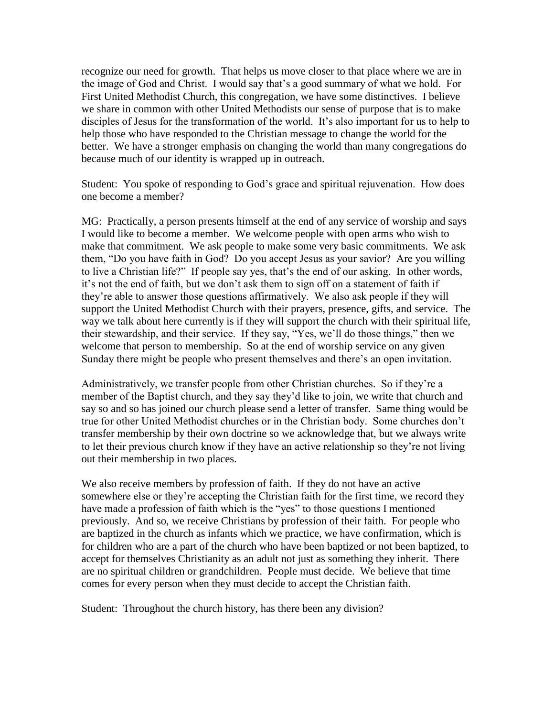recognize our need for growth. That helps us move closer to that place where we are in the image of God and Christ. I would say that's a good summary of what we hold. For First United Methodist Church, this congregation, we have some distinctives. I believe we share in common with other United Methodists our sense of purpose that is to make disciples of Jesus for the transformation of the world. It's also important for us to help to help those who have responded to the Christian message to change the world for the better. We have a stronger emphasis on changing the world than many congregations do because much of our identity is wrapped up in outreach.

Student: You spoke of responding to God's grace and spiritual rejuvenation. How does one become a member?

MG: Practically, a person presents himself at the end of any service of worship and says I would like to become a member. We welcome people with open arms who wish to make that commitment. We ask people to make some very basic commitments. We ask them, "Do you have faith in God? Do you accept Jesus as your savior? Are you willing to live a Christian life?" If people say yes, that's the end of our asking. In other words, it's not the end of faith, but we don't ask them to sign off on a statement of faith if they're able to answer those questions affirmatively. We also ask people if they will support the United Methodist Church with their prayers, presence, gifts, and service. The way we talk about here currently is if they will support the church with their spiritual life, their stewardship, and their service. If they say, "Yes, we'll do those things," then we welcome that person to membership. So at the end of worship service on any given Sunday there might be people who present themselves and there's an open invitation.

Administratively, we transfer people from other Christian churches. So if they're a member of the Baptist church, and they say they'd like to join, we write that church and say so and so has joined our church please send a letter of transfer. Same thing would be true for other United Methodist churches or in the Christian body. Some churches don't transfer membership by their own doctrine so we acknowledge that, but we always write to let their previous church know if they have an active relationship so they're not living out their membership in two places.

We also receive members by profession of faith. If they do not have an active somewhere else or they're accepting the Christian faith for the first time, we record they have made a profession of faith which is the "yes" to those questions I mentioned previously. And so, we receive Christians by profession of their faith. For people who are baptized in the church as infants which we practice, we have confirmation, which is for children who are a part of the church who have been baptized or not been baptized, to accept for themselves Christianity as an adult not just as something they inherit. There are no spiritual children or grandchildren. People must decide. We believe that time comes for every person when they must decide to accept the Christian faith.

Student: Throughout the church history, has there been any division?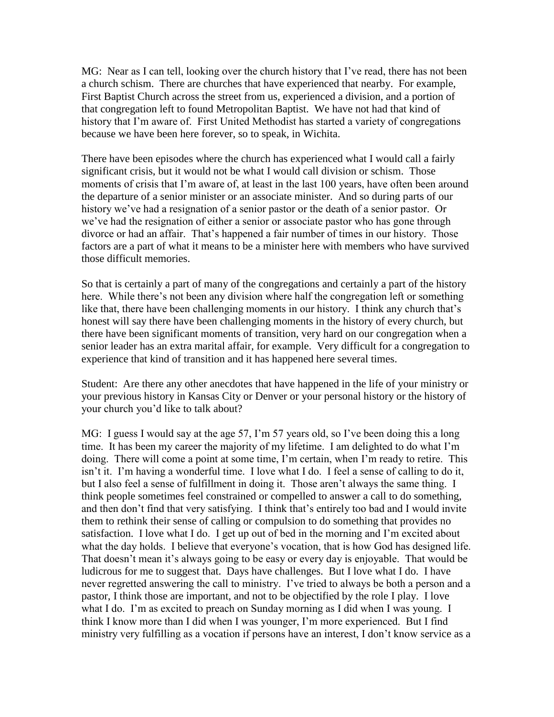MG: Near as I can tell, looking over the church history that I've read, there has not been a church schism. There are churches that have experienced that nearby. For example, First Baptist Church across the street from us, experienced a division, and a portion of that congregation left to found Metropolitan Baptist. We have not had that kind of history that I'm aware of. First United Methodist has started a variety of congregations because we have been here forever, so to speak, in Wichita.

There have been episodes where the church has experienced what I would call a fairly significant crisis, but it would not be what I would call division or schism. Those moments of crisis that I'm aware of, at least in the last 100 years, have often been around the departure of a senior minister or an associate minister. And so during parts of our history we've had a resignation of a senior pastor or the death of a senior pastor. Or we've had the resignation of either a senior or associate pastor who has gone through divorce or had an affair. That's happened a fair number of times in our history. Those factors are a part of what it means to be a minister here with members who have survived those difficult memories.

So that is certainly a part of many of the congregations and certainly a part of the history here. While there's not been any division where half the congregation left or something like that, there have been challenging moments in our history. I think any church that's honest will say there have been challenging moments in the history of every church, but there have been significant moments of transition, very hard on our congregation when a senior leader has an extra marital affair, for example. Very difficult for a congregation to experience that kind of transition and it has happened here several times.

Student: Are there any other anecdotes that have happened in the life of your ministry or your previous history in Kansas City or Denver or your personal history or the history of your church you'd like to talk about?

MG: I guess I would say at the age 57, I'm 57 years old, so I've been doing this a long time. It has been my career the majority of my lifetime. I am delighted to do what I'm doing. There will come a point at some time, I'm certain, when I'm ready to retire. This isn't it. I'm having a wonderful time. I love what I do. I feel a sense of calling to do it, but I also feel a sense of fulfillment in doing it. Those aren't always the same thing. I think people sometimes feel constrained or compelled to answer a call to do something, and then don't find that very satisfying. I think that's entirely too bad and I would invite them to rethink their sense of calling or compulsion to do something that provides no satisfaction. I love what I do. I get up out of bed in the morning and I'm excited about what the day holds. I believe that everyone's vocation, that is how God has designed life. That doesn't mean it's always going to be easy or every day is enjoyable. That would be ludicrous for me to suggest that. Days have challenges. But I love what I do. I have never regretted answering the call to ministry. I've tried to always be both a person and a pastor, I think those are important, and not to be objectified by the role I play. I love what I do. I'm as excited to preach on Sunday morning as I did when I was young. I think I know more than I did when I was younger, I'm more experienced. But I find ministry very fulfilling as a vocation if persons have an interest, I don't know service as a